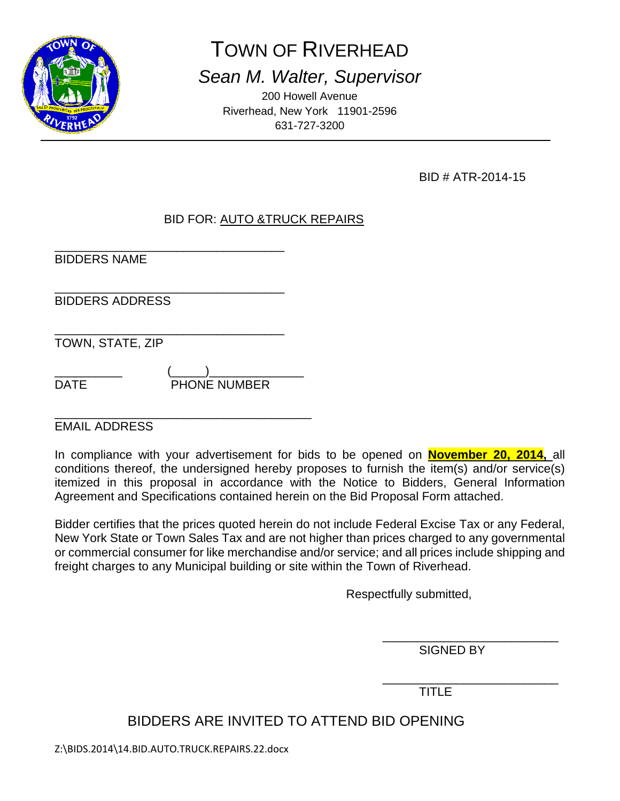

# TOWN OF RIVERHEAD

*Sean M. Walter, Supervisor*

200 Howell Avenue Riverhead, New York 11901-2596 631-727-3200

BID # ATR-2014-15

# BID FOR: AUTO &TRUCK REPAIRS

\_\_\_\_\_\_\_\_\_\_\_\_\_\_\_\_\_\_\_\_\_\_\_\_\_\_\_\_\_\_\_\_\_\_ BIDDERS NAME

\_\_\_\_\_\_\_\_\_\_\_\_\_\_\_\_\_\_\_\_\_\_\_\_\_\_\_\_\_\_\_\_\_\_ BIDDERS ADDRESS

\_\_\_\_\_\_\_\_\_\_\_\_\_\_\_\_\_\_\_\_\_\_\_\_\_\_\_\_\_\_\_\_\_\_ TOWN, STATE, ZIP

\_\_\_\_\_\_\_\_\_\_ (\_\_\_\_\_)\_\_\_\_\_\_\_\_\_\_\_\_\_\_ DATE **PHONE NUMBER** 

\_\_\_\_\_\_\_\_\_\_\_\_\_\_\_\_\_\_\_\_\_\_\_\_\_\_\_\_\_\_\_\_\_\_\_\_\_\_ EMAIL ADDRESS

In compliance with your advertisement for bids to be opened on **November 20, 2014,** all conditions thereof, the undersigned hereby proposes to furnish the item(s) and/or service(s) itemized in this proposal in accordance with the Notice to Bidders, General Information Agreement and Specifications contained herein on the Bid Proposal Form attached.

Bidder certifies that the prices quoted herein do not include Federal Excise Tax or any Federal, New York State or Town Sales Tax and are not higher than prices charged to any governmental or commercial consumer for like merchandise and/or service; and all prices include shipping and freight charges to any Municipal building or site within the Town of Riverhead.

Respectfully submitted,

\_\_\_\_\_\_\_\_\_\_\_\_\_\_\_\_\_\_\_\_\_\_\_\_\_\_ SIGNED BY

\_\_\_\_\_\_\_\_\_\_\_\_\_\_\_\_\_\_\_\_\_\_\_\_\_\_ TITLE

BIDDERS ARE INVITED TO ATTEND BID OPENING

Z:\BIDS.2014\14.BID.AUTO.TRUCK.REPAIRS.22.docx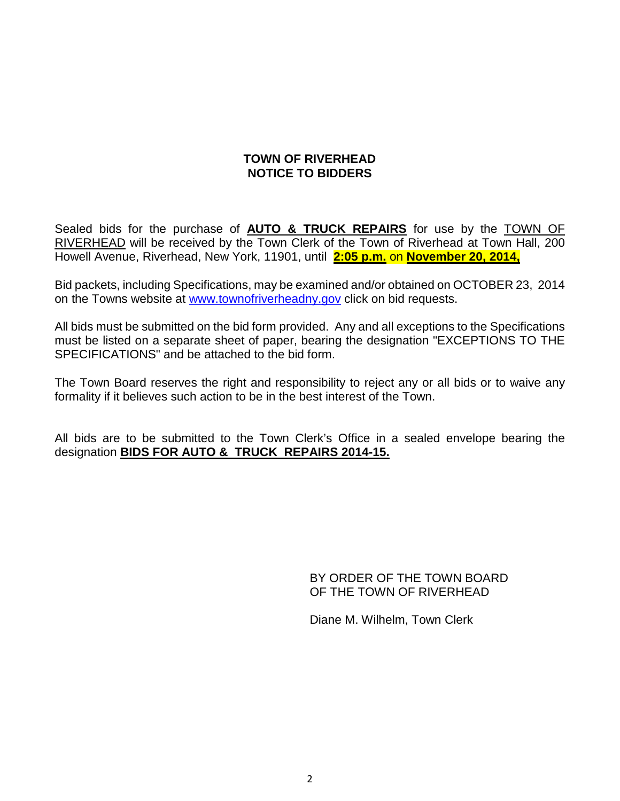# **TOWN OF RIVERHEAD NOTICE TO BIDDERS**

Sealed bids for the purchase of **AUTO & TRUCK REPAIRS** for use by the TOWN OF RIVERHEAD will be received by the Town Clerk of the Town of Riverhead at Town Hall, 200 Howell Avenue, Riverhead, New York, 11901, until **2:05 p.m.** on **November 20, 2014,**

Bid packets, including Specifications, may be examined and/or obtained on OCTOBER 23, 2014 on the Towns website at [www.townofriverheadny.gov](http://www.townofriverheadny.gov/) click on bid requests.

All bids must be submitted on the bid form provided. Any and all exceptions to the Specifications must be listed on a separate sheet of paper, bearing the designation "EXCEPTIONS TO THE SPECIFICATIONS" and be attached to the bid form.

The Town Board reserves the right and responsibility to reject any or all bids or to waive any formality if it believes such action to be in the best interest of the Town.

All bids are to be submitted to the Town Clerk's Office in a sealed envelope bearing the designation **BIDS FOR AUTO & TRUCK REPAIRS 2014-15.**

> BY ORDER OF THE TOWN BOARD OF THE TOWN OF RIVERHEAD

Diane M. Wilhelm, Town Clerk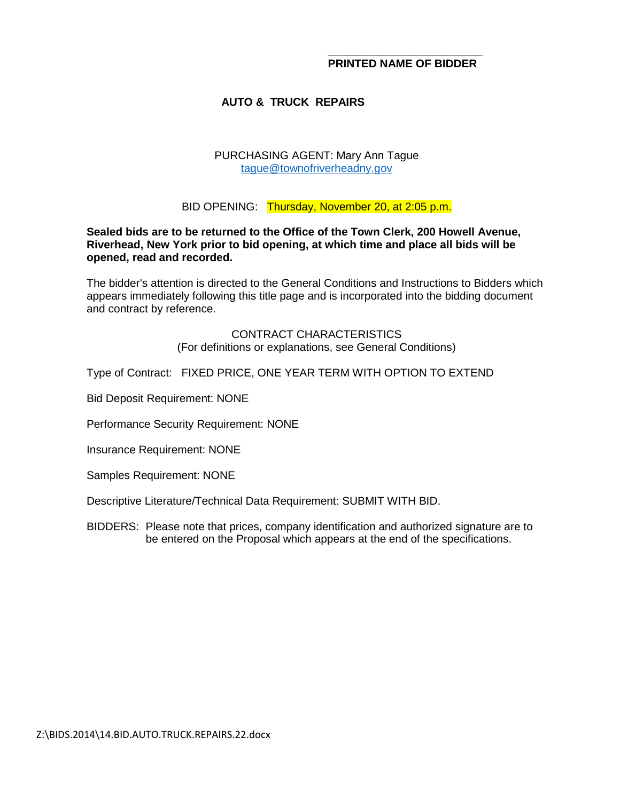## **AUTO & TRUCK REPAIRS**

#### PURCHASING AGENT: Mary Ann Tague [tague@townofriverheadny.gov](mailto:tague@townofriverheadny.gov)

BID OPENING: Thursday, November 20, at 2:05 p.m.

**Sealed bids are to be returned to the Office of the Town Clerk, 200 Howell Avenue, Riverhead, New York prior to bid opening, at which time and place all bids will be opened, read and recorded.**

The bidder's attention is directed to the General Conditions and Instructions to Bidders which appears immediately following this title page and is incorporated into the bidding document and contract by reference.

#### CONTRACT CHARACTERISTICS (For definitions or explanations, see General Conditions)

Type of Contract: FIXED PRICE, ONE YEAR TERM WITH OPTION TO EXTEND

Bid Deposit Requirement: NONE

Performance Security Requirement: NONE

Insurance Requirement: NONE

Samples Requirement: NONE

Descriptive Literature/Technical Data Requirement: SUBMIT WITH BID.

BIDDERS: Please note that prices, company identification and authorized signature are to be entered on the Proposal which appears at the end of the specifications.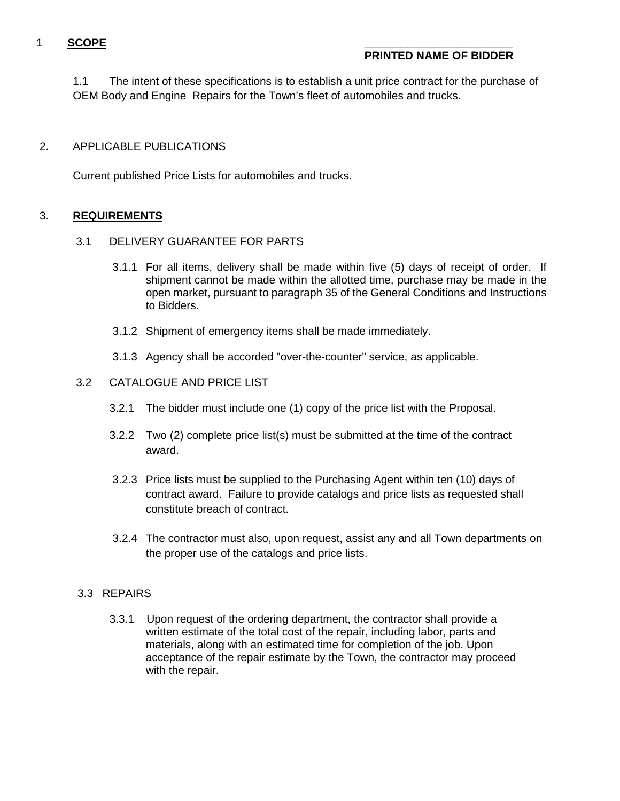# 1 **SCOPE \_\_\_\_\_\_\_\_\_\_\_\_\_\_\_\_\_\_\_\_\_\_\_\_**

# **PRINTED NAME OF BIDDER**

1.1 The intent of these specifications is to establish a unit price contract for the purchase of OEM Body and Engine Repairs for the Town's fleet of automobiles and trucks.

## 2. APPLICABLE PUBLICATIONS

Current published Price Lists for automobiles and trucks.

## 3. **REQUIREMENTS**

## 3.1 DELIVERY GUARANTEE FOR PARTS

- 3.1.1 For all items, delivery shall be made within five (5) days of receipt of order. If shipment cannot be made within the allotted time, purchase may be made in the open market, pursuant to paragraph 35 of the General Conditions and Instructions to Bidders.
- 3.1.2 Shipment of emergency items shall be made immediately.
- 3.1.3 Agency shall be accorded "over-the-counter" service, as applicable.

## 3.2 CATALOGUE AND PRICE LIST

- 3.2.1 The bidder must include one (1) copy of the price list with the Proposal.
- 3.2.2 Two (2) complete price list(s) must be submitted at the time of the contract award.
- 3.2.3 Price lists must be supplied to the Purchasing Agent within ten (10) days of contract award. Failure to provide catalogs and price lists as requested shall constitute breach of contract.
- 3.2.4 The contractor must also, upon request, assist any and all Town departments on the proper use of the catalogs and price lists.

## 3.3 REPAIRS

3.3.1 Upon request of the ordering department, the contractor shall provide a written estimate of the total cost of the repair, including labor, parts and materials, along with an estimated time for completion of the job. Upon acceptance of the repair estimate by the Town, the contractor may proceed with the repair.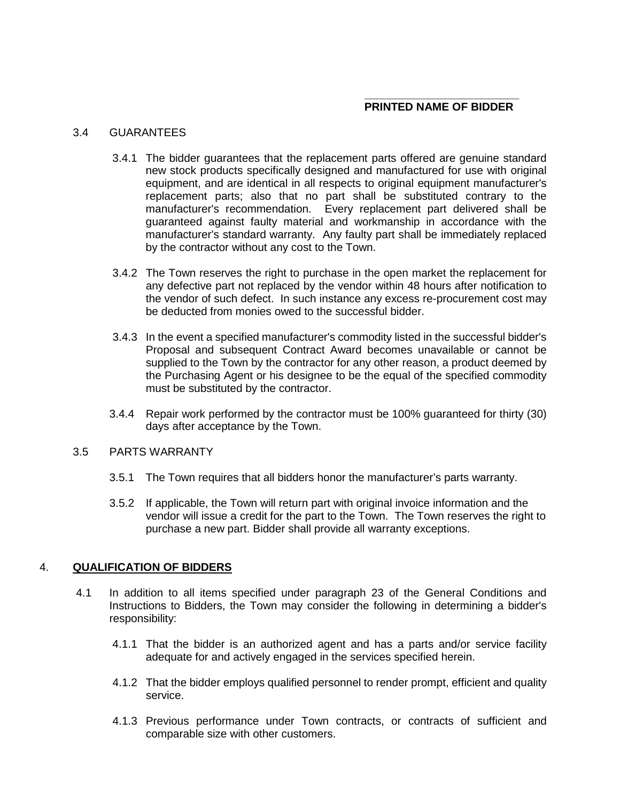#### 3.4 GUARANTEES

- 3.4.1 The bidder guarantees that the replacement parts offered are genuine standard new stock products specifically designed and manufactured for use with original equipment, and are identical in all respects to original equipment manufacturer's replacement parts; also that no part shall be substituted contrary to the manufacturer's recommendation. Every replacement part delivered shall be guaranteed against faulty material and workmanship in accordance with the manufacturer's standard warranty. Any faulty part shall be immediately replaced by the contractor without any cost to the Town.
- 3.4.2 The Town reserves the right to purchase in the open market the replacement for any defective part not replaced by the vendor within 48 hours after notification to the vendor of such defect. In such instance any excess re-procurement cost may be deducted from monies owed to the successful bidder.
- 3.4.3 In the event a specified manufacturer's commodity listed in the successful bidder's Proposal and subsequent Contract Award becomes unavailable or cannot be supplied to the Town by the contractor for any other reason, a product deemed by the Purchasing Agent or his designee to be the equal of the specified commodity must be substituted by the contractor.
- 3.4.4 Repair work performed by the contractor must be 100% guaranteed for thirty (30) days after acceptance by the Town.

#### 3.5 PARTS WARRANTY

- 3.5.1 The Town requires that all bidders honor the manufacturer's parts warranty.
- 3.5.2 If applicable, the Town will return part with original invoice information and the vendor will issue a credit for the part to the Town. The Town reserves the right to purchase a new part. Bidder shall provide all warranty exceptions.

#### 4. **QUALIFICATION OF BIDDERS**

- 4.1 In addition to all items specified under paragraph 23 of the General Conditions and Instructions to Bidders, the Town may consider the following in determining a bidder's responsibility:
	- 4.1.1 That the bidder is an authorized agent and has a parts and/or service facility adequate for and actively engaged in the services specified herein.
	- 4.1.2 That the bidder employs qualified personnel to render prompt, efficient and quality service.
	- 4.1.3 Previous performance under Town contracts, or contracts of sufficient and comparable size with other customers.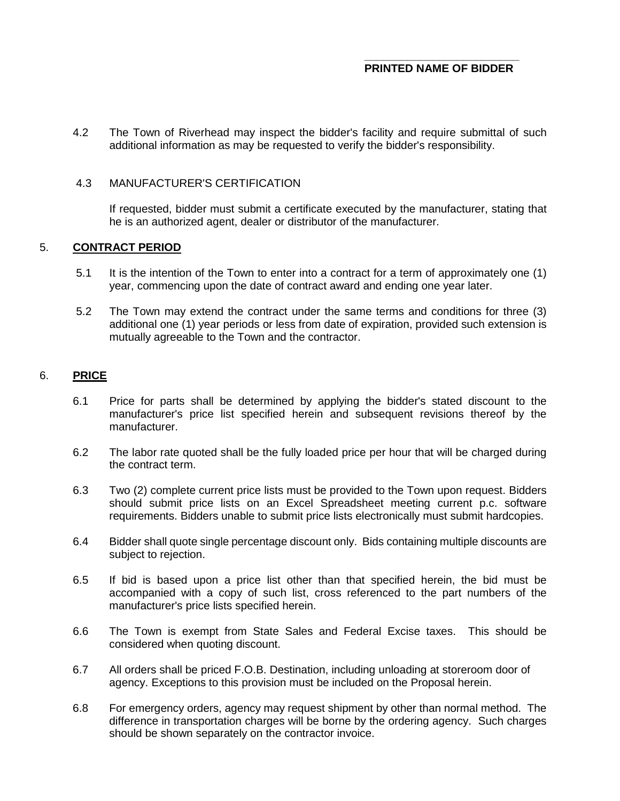4.2 The Town of Riverhead may inspect the bidder's facility and require submittal of such additional information as may be requested to verify the bidder's responsibility.

#### 4.3 MANUFACTURER'S CERTIFICATION

If requested, bidder must submit a certificate executed by the manufacturer, stating that he is an authorized agent, dealer or distributor of the manufacturer.

#### 5. **CONTRACT PERIOD**

- 5.1 It is the intention of the Town to enter into a contract for a term of approximately one (1) year, commencing upon the date of contract award and ending one year later.
- 5.2 The Town may extend the contract under the same terms and conditions for three (3) additional one (1) year periods or less from date of expiration, provided such extension is mutually agreeable to the Town and the contractor.

#### 6. **PRICE**

- 6.1 Price for parts shall be determined by applying the bidder's stated discount to the manufacturer's price list specified herein and subsequent revisions thereof by the manufacturer.
- 6.2 The labor rate quoted shall be the fully loaded price per hour that will be charged during the contract term.
- 6.3 Two (2) complete current price lists must be provided to the Town upon request. Bidders should submit price lists on an Excel Spreadsheet meeting current p.c. software requirements. Bidders unable to submit price lists electronically must submit hardcopies.
- 6.4 Bidder shall quote single percentage discount only. Bids containing multiple discounts are subject to rejection.
- 6.5 If bid is based upon a price list other than that specified herein, the bid must be accompanied with a copy of such list, cross referenced to the part numbers of the manufacturer's price lists specified herein.
- 6.6 The Town is exempt from State Sales and Federal Excise taxes. This should be considered when quoting discount.
- 6.7 All orders shall be priced F.O.B. Destination, including unloading at storeroom door of agency. Exceptions to this provision must be included on the Proposal herein.
- 6.8 For emergency orders, agency may request shipment by other than normal method. The difference in transportation charges will be borne by the ordering agency. Such charges should be shown separately on the contractor invoice.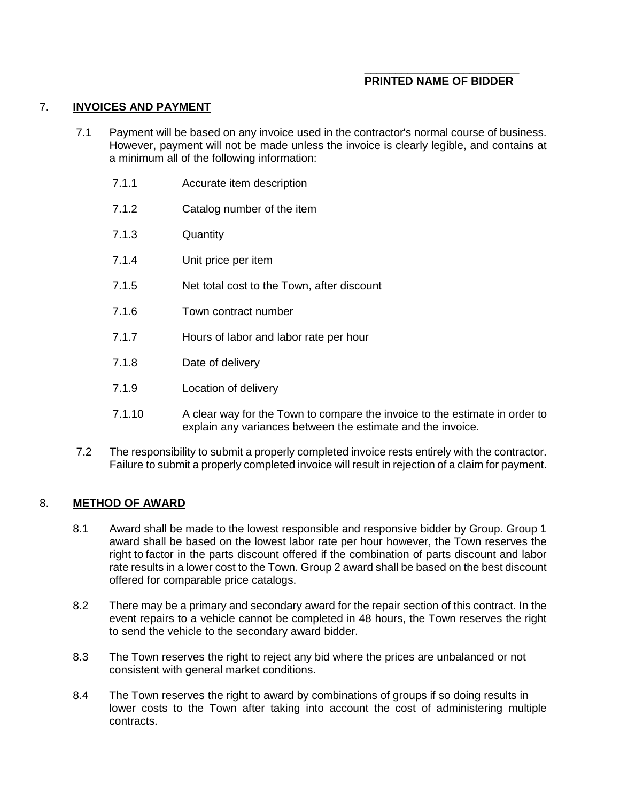#### 7. **INVOICES AND PAYMENT**

- 7.1 Payment will be based on any invoice used in the contractor's normal course of business. However, payment will not be made unless the invoice is clearly legible, and contains at a minimum all of the following information:
	- 7.1.1 Accurate item description
	- 7.1.2 Catalog number of the item
	- 7.1.3 Quantity
	- 7.1.4 Unit price per item
	- 7.1.5 Net total cost to the Town, after discount
	- 7.1.6 Town contract number
	- 7.1.7 Hours of labor and labor rate per hour
	- 7.1.8 Date of delivery
	- 7.1.9 Location of delivery
	- 7.1.10 A clear way for the Town to compare the invoice to the estimate in order to explain any variances between the estimate and the invoice.
- 7.2 The responsibility to submit a properly completed invoice rests entirely with the contractor. Failure to submit a properly completed invoice will result in rejection of a claim for payment.

#### 8. **METHOD OF AWARD**

- 8.1 Award shall be made to the lowest responsible and responsive bidder by Group. Group 1 award shall be based on the lowest labor rate per hour however, the Town reserves the right to factor in the parts discount offered if the combination of parts discount and labor rate results in a lower cost to the Town. Group 2 award shall be based on the best discount offered for comparable price catalogs.
- 8.2 There may be a primary and secondary award for the repair section of this contract. In the event repairs to a vehicle cannot be completed in 48 hours, the Town reserves the right to send the vehicle to the secondary award bidder.
- 8.3 The Town reserves the right to reject any bid where the prices are unbalanced or not consistent with general market conditions.
- 8.4 The Town reserves the right to award by combinations of groups if so doing results in lower costs to the Town after taking into account the cost of administering multiple contracts.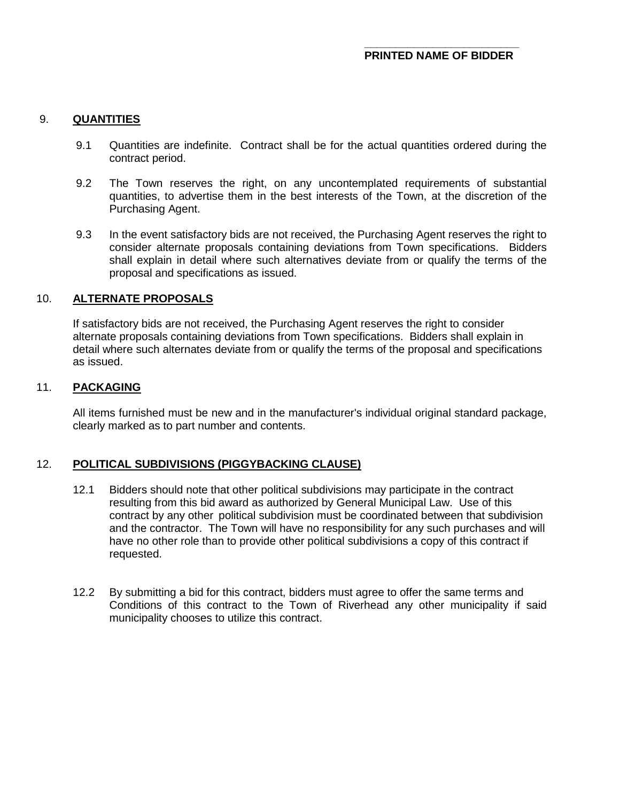## 9. **QUANTITIES**

- 9.1 Quantities are indefinite. Contract shall be for the actual quantities ordered during the contract period.
- 9.2 The Town reserves the right, on any uncontemplated requirements of substantial quantities, to advertise them in the best interests of the Town, at the discretion of the Purchasing Agent.
- 9.3 In the event satisfactory bids are not received, the Purchasing Agent reserves the right to consider alternate proposals containing deviations from Town specifications. Bidders shall explain in detail where such alternatives deviate from or qualify the terms of the proposal and specifications as issued.

#### 10. **ALTERNATE PROPOSALS**

If satisfactory bids are not received, the Purchasing Agent reserves the right to consider alternate proposals containing deviations from Town specifications. Bidders shall explain in detail where such alternates deviate from or qualify the terms of the proposal and specifications as issued.

#### 11. **PACKAGING**

All items furnished must be new and in the manufacturer's individual original standard package, clearly marked as to part number and contents.

#### 12. **POLITICAL SUBDIVISIONS (PIGGYBACKING CLAUSE)**

- 12.1 Bidders should note that other political subdivisions may participate in the contract resulting from this bid award as authorized by General Municipal Law. Use of this contract by any other political subdivision must be coordinated between that subdivision and the contractor. The Town will have no responsibility for any such purchases and will have no other role than to provide other political subdivisions a copy of this contract if requested.
- 12.2 By submitting a bid for this contract, bidders must agree to offer the same terms and Conditions of this contract to the Town of Riverhead any other municipality if said municipality chooses to utilize this contract.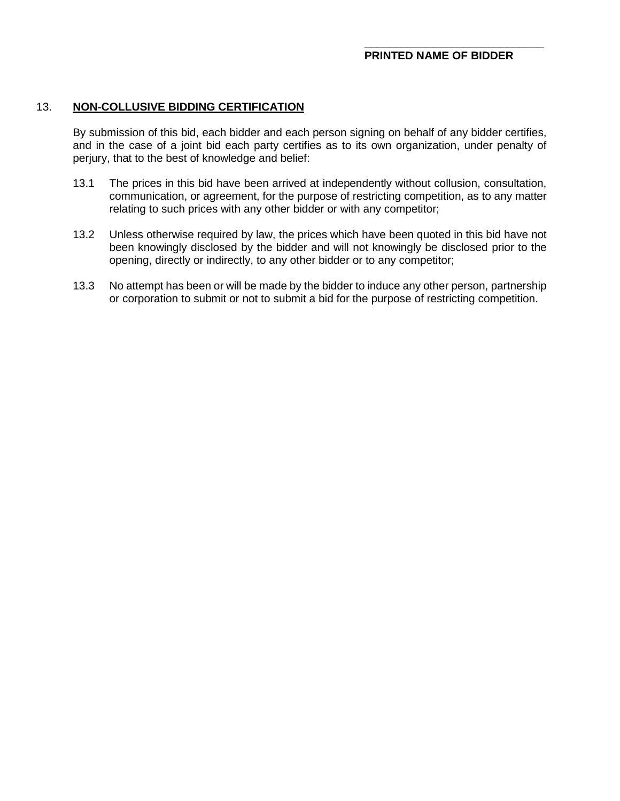#### 13. **NON-COLLUSIVE BIDDING CERTIFICATION**

By submission of this bid, each bidder and each person signing on behalf of any bidder certifies, and in the case of a joint bid each party certifies as to its own organization, under penalty of perjury, that to the best of knowledge and belief:

- 13.1 The prices in this bid have been arrived at independently without collusion, consultation, communication, or agreement, for the purpose of restricting competition, as to any matter relating to such prices with any other bidder or with any competitor;
- 13.2 Unless otherwise required by law, the prices which have been quoted in this bid have not been knowingly disclosed by the bidder and will not knowingly be disclosed prior to the opening, directly or indirectly, to any other bidder or to any competitor;
- 13.3 No attempt has been or will be made by the bidder to induce any other person, partnership or corporation to submit or not to submit a bid for the purpose of restricting competition.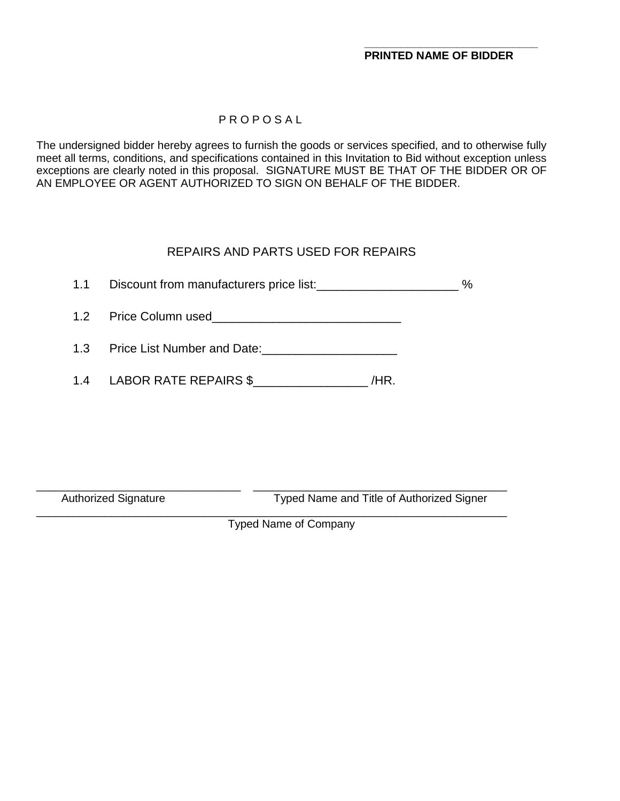# P R O P O S A L

The undersigned bidder hereby agrees to furnish the goods or services specified, and to otherwise fully meet all terms, conditions, and specifications contained in this Invitation to Bid without exception unless exceptions are clearly noted in this proposal. SIGNATURE MUST BE THAT OF THE BIDDER OR OF AN EMPLOYEE OR AGENT AUTHORIZED TO SIGN ON BEHALF OF THE BIDDER.

# REPAIRS AND PARTS USED FOR REPAIRS

1.1 Discount from manufacturers price list:<br>
2%

- 1.2 Price Column used\_\_\_\_\_\_\_\_\_\_\_\_\_\_\_\_\_\_\_\_\_\_\_\_\_\_\_\_
- 1.3 Price List Number and Date:\_\_\_\_\_\_\_\_\_\_\_\_\_\_\_\_\_\_\_\_
- 1.4 LABOR RATE REPAIRS \$\_\_\_\_\_\_\_\_\_\_\_\_\_\_\_\_\_ /HR.

\_\_\_\_\_\_\_\_\_\_\_\_\_\_\_\_\_\_\_\_\_\_\_\_\_\_\_\_\_\_\_\_\_ \_\_\_\_\_\_\_\_\_\_\_\_\_\_\_\_\_\_\_\_\_\_\_\_\_\_\_\_\_\_\_\_\_\_\_\_\_\_\_\_\_ Authorized Signature Typed Name and Title of Authorized Signer

\_\_\_\_\_\_\_\_\_\_\_\_\_\_\_\_\_\_\_\_\_\_\_\_\_\_\_\_\_\_\_\_\_\_\_\_\_\_\_\_\_\_\_\_\_\_\_\_\_\_\_\_\_\_\_\_\_\_\_\_\_\_\_\_\_\_\_\_\_\_\_\_\_\_\_\_ Typed Name of Company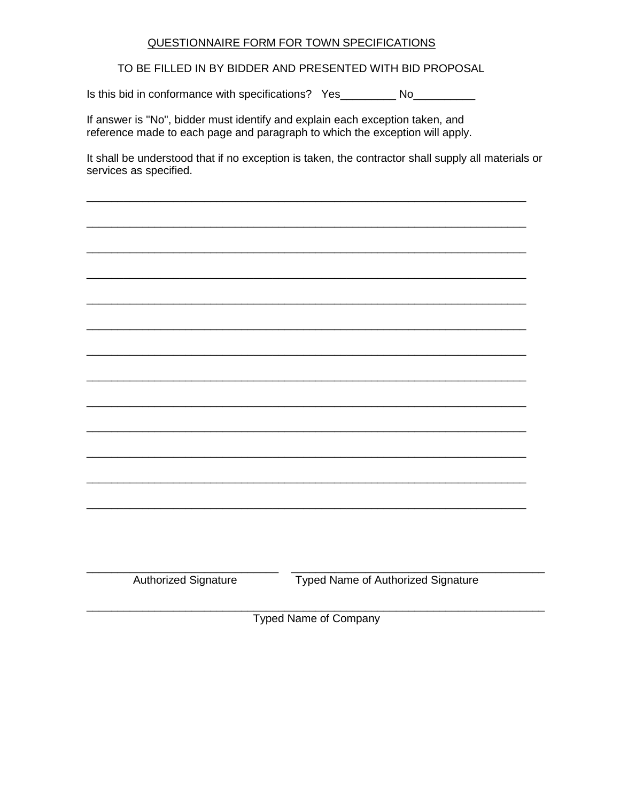## QUESTIONNAIRE FORM FOR TOWN SPECIFICATIONS

TO BE FILLED IN BY BIDDER AND PRESENTED WITH BID PROPOSAL

Is this bid in conformance with specifications? Yes\_\_\_\_\_\_\_\_\_\_ No\_\_\_\_\_\_\_\_\_\_\_

If answer is "No", bidder must identify and explain each exception taken, and reference made to each page and paragraph to which the exception will apply.

It shall be understood that if no exception is taken, the contractor shall supply all materials or services as specified.

**Authorized Signature** 

**Typed Name of Authorized Signature** 

**Typed Name of Company**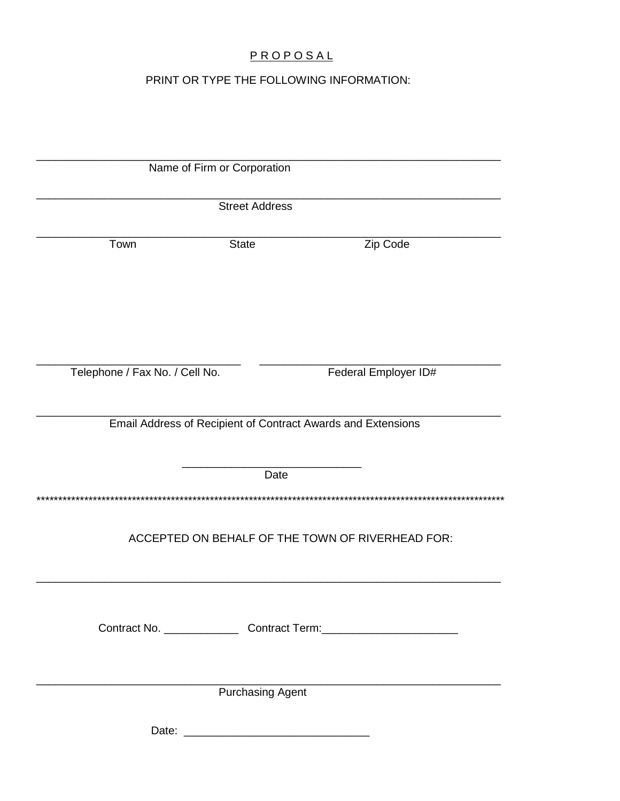# PROPOSAL

# PRINT OR TYPE THE FOLLOWING INFORMATION:

| Name of Firm or Corporation                                  |              |                      |  |
|--------------------------------------------------------------|--------------|----------------------|--|
| <b>Street Address</b>                                        |              |                      |  |
| Town                                                         | <b>State</b> | Zip Code             |  |
| Telephone / Fax No. / Cell No.                               |              | Federal Employer ID# |  |
| Email Address of Recipient of Contract Awards and Extensions |              |                      |  |
|                                                              | Date         |                      |  |
| ACCEPTED ON BEHALF OF THE TOWN OF RIVERHEAD FOR:             |              |                      |  |
|                                                              |              |                      |  |
| <b>Purchasing Agent</b>                                      |              |                      |  |
|                                                              |              |                      |  |